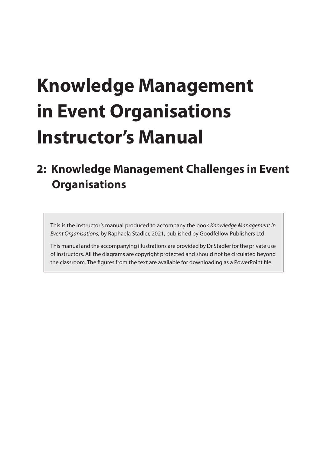# **Knowledge Management in Event Organisations Instructor's Manual**

## **2: Knowledge Management Challenges in Event Organisations**

This is the instructor's manual produced to accompany the book *Knowledge Management in Event Organisations*, by Raphaela Stadler, 2021, published by Goodfellow Publishers Ltd.

This manual and the accompanying illustrations are provided by Dr Stadler for the private use of instructors. All the diagrams are copyright protected and should not be circulated beyond the classroom. The figures from the text are available for downloading as a PowerPoint file.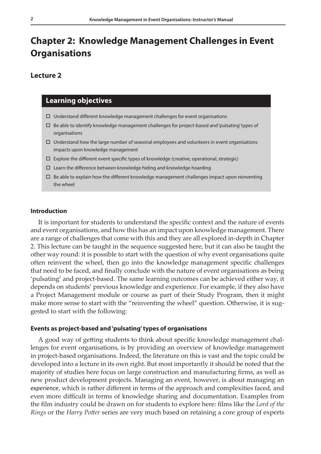### **Chapter 2: Knowledge Management Challenges in Event Organisations**

#### **Lecture 2**

#### **Learning objectives**

- $\Box$  Understand different knowledge management challenges for event organisations
- $\square$  Be able to identify knowledge management challenges for project-based and 'pulsating' types of organisations
- $\Box$  Understand how the large number of seasonal employees and volunteers in event organisations impacts upon knowledge management
- Explore the different event specific types of knowledge (creative, operational, strategic)
- $\square$  Learn the difference between knowledge hiding and knowledge hoarding
- $\Box$  Be able to explain how the different knowledge management challenges impact upon reinventing the wheel

#### **Introduction**

It is important for students to understand the specific context and the nature of events and event organisations, and how this has an impact upon knowledge management. There are a range of challenges that come with this and they are all explored in-depth in Chapter 2. This lecture can be taught in the sequence suggested here, but it can also be taught the other way round: it is possible to start with the question of why event organisations quite often reinvent the wheel, then go into the knowledge management specific challenges that need to be faced, and finally conclude with the nature of event organisations as being 'pulsating' and project-based. The same learning outcomes can be achieved either way, it depends on students' previous knowledge and experience. For example, if they also have a Project Management module or course as part of their Study Program, then it might make more sense to start with the "reinventing the wheel" question. Otherwise, it is suggested to start with the following:

#### **Events as project-based and 'pulsating' types of organisations**

A good way of getting students to think about specific knowledge management challenges for event organisations, is by providing an overview of knowledge management in project-based organisations. Indeed, the literature on this is vast and the topic could be developed into a lecture in its own right. But most importantly it should be noted that the majority of studies here focus on large construction and manufacturing firms, as well as new product development projects. Managing an event, however, is about managing an *experience*, which is rather different in terms of the approach and complexities faced, and even more difficult in terms of knowledge sharing and documentation. Examples from the film industry could be drawn on for students to explore here: films like the *Lord of the Rings* or the *Harry Potter* series are very much based on retaining a core group of experts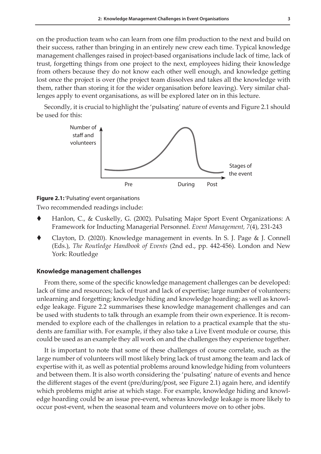on the production team who can learn from one film production to the next and build on their success, rather than bringing in an entirely new crew each time. Typical knowledge management challenges raised in project-based organisations include lack of time, lack of trust, forgetting things from one project to the next, employees hiding their knowledge from others because they do not know each other well enough, and knowledge getting lost once the project is over (the project team dissolves and takes all the knowledge with them, rather than storing it for the wider organisation before leaving). Very similar challenges apply to event organisations, as will be explored later on in this lecture.

Secondly, it is crucial to highlight the 'pulsating' nature of events and Figure 2.1 should be used for this:



**Figure 2.1:** 'Pulsating' event organisations

Two recommended readings include:

- Hanlon, C., & Cuskelly, G. (2002). Pulsating Major Sport Event Organizations: A Framework for Inducting Managerial Personnel. *Event Management, 7*(4), 231-243
- Clayton, D. (2020). Knowledge management in events. In S. J. Page & J. Connell (Eds.), *The Routledge Handbook of Events* (2nd ed., pp. 442-456). London and New York: Routledge

#### **Knowledge management challenges**

From there, some of the specific knowledge management challenges can be developed: lack of time and resources; lack of trust and lack of expertise; large number of volunteers; unlearning and forgetting; knowledge hiding and knowledge hoarding; as well as knowledge leakage. Figure 2.2 summarises these knowledge management challenges and can be used with students to talk through an example from their own experience. It is recommended to explore each of the challenges in relation to a practical example that the students are familiar with. For example, if they also take a Live Event module or course, this could be used as an example they all work on and the challenges they experience together.

It is important to note that some of these challenges of course correlate, such as the large number of volunteers will most likely bring lack of trust among the team and lack of expertise with it, as well as potential problems around knowledge hiding from volunteers and between them. It is also worth considering the 'pulsating' nature of events and hence the different stages of the event (pre/during/post, see Figure 2.1) again here, and identify which problems might arise at which stage. For example, knowledge hiding and knowledge hoarding could be an issue pre-event, whereas knowledge leakage is more likely to occur post-event, when the seasonal team and volunteers move on to other jobs.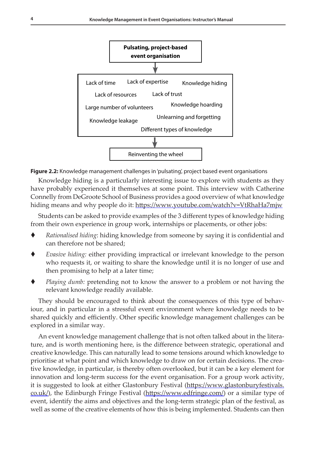**18 Knowledge Management in Event Organisations**



**Figure 2.2:** Knowledge management challenges in 'pulsating', project based event organisations

Knowledge hiding is a particularly interesting issue to explore with students as they have probably experienced it themselves at some point. This interview with Catherine Connelly from DeGroote School of Business provides a good overview of what knowledge hiding means and why people do it:<https://www.youtube.com/watch?v=VtRhaHa7mjw>

Students can be asked to provide examples of the 3 different types of knowledge hiding from their own experience in group work, internships or placements, or other jobs:

- *Rationalised hiding*: hiding knowledge from someone by saying it is confidential and can therefore not be shared;
- *Evasive hiding:* either providing impractical or irrelevant knowledge to the person who requests it, or waiting to share the knowledge until it is no longer of use and then promising to help at a later time;
- *Playing dumb:* pretending not to know the answer to a problem or not having the relevant knowledge readily available.

They should be encouraged to think about the consequences of this type of behaviour, and in particular in a stressful event environment where knowledge needs to be shared quickly and efficiently. Other specific knowledge management challenges can be explored in a similar way.

An event knowledge management challenge that is not often talked about in the literature, and is worth mentioning here, is the difference between strategic, operational and creative knowledge. This can naturally lead to some tensions around which knowledge to prioritise at what point and which knowledge to draw on for certain decisions. The creative knowledge, in particular, is thereby often overlooked, but it can be a key element for innovation and long-term success for the event organisation. For a group work activity, it is suggested to look at either Glastonbury Festival ([https://www.glastonburyfestivals.](https://www.glastonburyfestivals.co.uk/) [co.uk/](https://www.glastonburyfestivals.co.uk/)), the Edinburgh Fringe Festival [\(https://www.edfringe.com/](https://www.edfringe.com/)) or a similar type of event, identify the aims and objectives and the long-term strategic plan of the festival, as well as some of the creative elements of how this is being implemented. Students can then